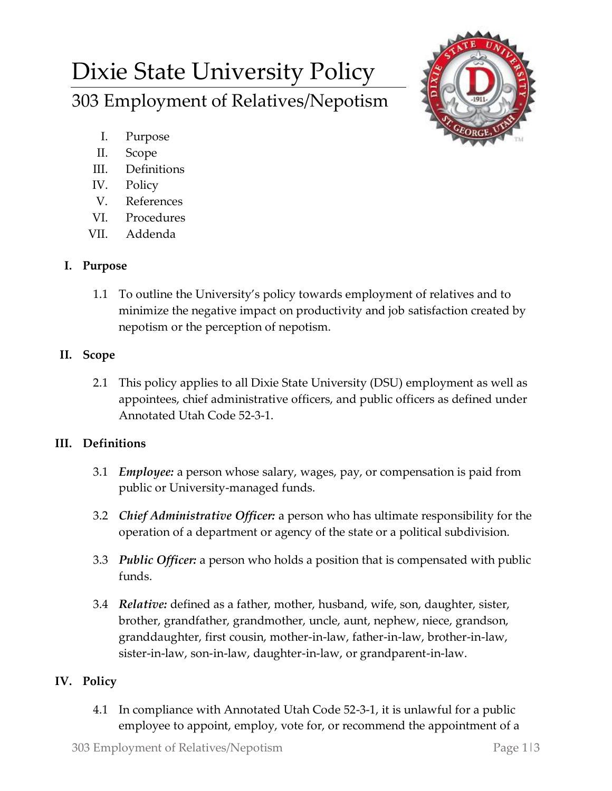# Dixie State University Policy 303 Employment of Relatives/Nepotism



- I. Purpose
- II. Scope
- III. Definitions
- IV. Policy
- V. References
- VI. Procedures
- VII. Addenda

#### **I. Purpose**

1.1 To outline the University's policy towards employment of relatives and to minimize the negative impact on productivity and job satisfaction created by nepotism or the perception of nepotism.

## **II. Scope**

2.1 This policy applies to all Dixie State University (DSU) employment as well as appointees, chief administrative officers, and public officers as defined under Annotated Utah Code 52-3-1.

## **III. Definitions**

- 3.1 *Employee:* a person whose salary, wages, pay, or compensation is paid from public or University-managed funds.
- 3.2 *Chief Administrative Officer:* a person who has ultimate responsibility for the operation of a department or agency of the state or a political subdivision.
- 3.3 *Public Officer:* a person who holds a position that is compensated with public funds.
- 3.4 *Relative:* defined as a father, mother, husband, wife, son, daughter, sister, brother, grandfather, grandmother, uncle, aunt, nephew, niece, grandson, granddaughter, first cousin, mother-in-law, father-in-law, brother-in-law, sister-in-law, son-in-law, daughter-in-law, or grandparent-in-law.

## **IV. Policy**

4.1 In compliance with Annotated Utah Code 52-3-1, it is unlawful for a public employee to appoint, employ, vote for, or recommend the appointment of a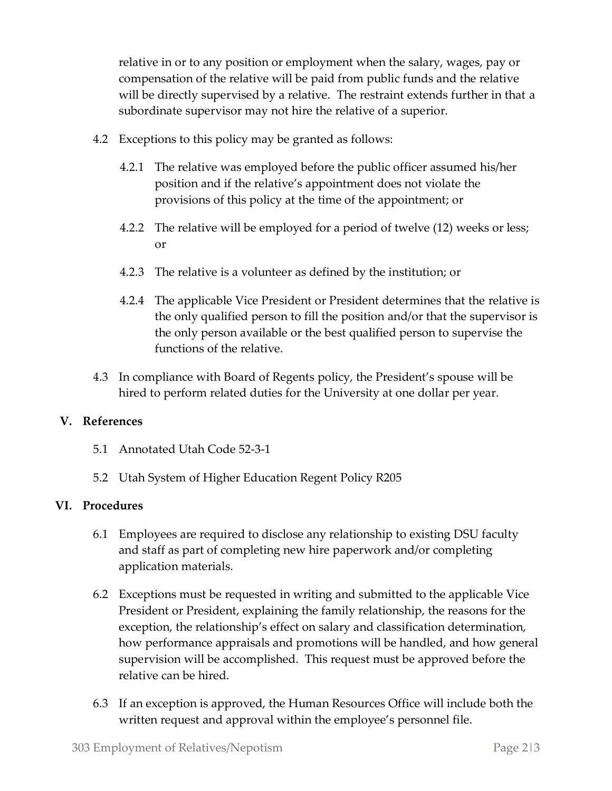relative in or to any position or employment when the salary, wages, pay or compensation of the relative will be paid from public funds and the relative will be directly supervised by a relative. The restraint extends further in that a subordinate supervisor may not hire the relative of a superior.

- 4.2 Exceptions to this policy may be granted as follows:
	- 4.2.1 The relative was employed before the public officer assumed his/her position and if the relative's appointment does not violate the provisions of this policy at the time of the appointment; or
	- 4.2.2 The relative will be employed for a period of twelve (12) weeks or less; or
	- 4.2.3 The relative is a volunteer as defined by the institution; or
	- 4.2.4 The applicable Vice President or President determines that the relative is the only qualified person to fill the position and/or that the supervisor is the only person available or the best qualified person to supervise the functions of the relative.
- 4.3 In compliance with Board of Regents policy, the President's spouse will be hired to perform related duties for the University at one dollar per year.

#### **V. References**

- 5.1 Annotated Utah Code 52-3-1
- 5.2 Utah System of Higher Education Regent Policy R205

#### **VI. Procedures**

- 6.1 Employees are required to disclose any relationship to existing DSU faculty and staff as part of completing new hire paperwork and/or completing application materials.
- 6.2 Exceptions must be requested in writing and submitted to the applicable Vice President or President, explaining the family relationship, the reasons for the exception, the relationship's effect on salary and classification determination, how performance appraisals and promotions will be handled, and how general supervision will be accomplished. This request must be approved before the relative can be hired.
- 6.3 If an exception is approved, the Human Resources Office will include both the written request and approval within the employee's personnel file.